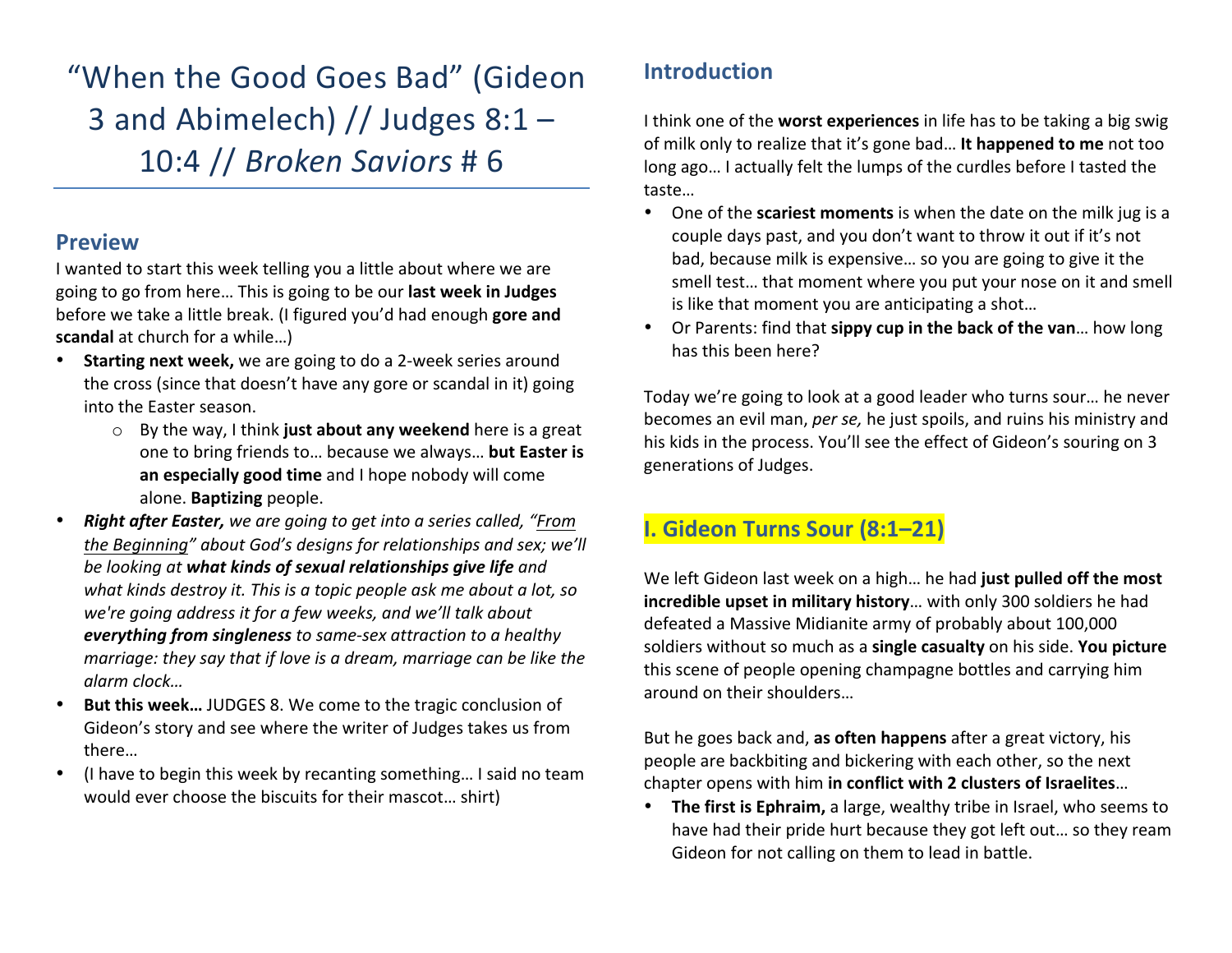"When the Good Goes Bad" (Gideon 3 and Abimelech) // Judges  $8:1 -$ 10:4 // *Broken Saviors* # 6

#### **Preview**

I wanted to start this week telling you a little about where we are going to go from here... This is going to be our **last week in Judges** before we take a little break. (I figured you'd had enough **gore and scandal** at church for a while...)

- **Starting next week,** we are going to do a 2-week series around the cross (since that doesn't have any gore or scandal in it) going into the Easter season.
	- o By the way, I think just about any weekend here is a great one to bring friends to... because we always... **but Easter is** an especially good time and I hope nobody will come alone. **Baptizing** people.
- **Right after Easter,** we are going to get into a series called, "From the Beginning" about God's designs for relationships and sex; we'll be looking at what kinds of sexual relationships give life and what kinds destroy it. This is a topic people ask me about a lot, so we're going address it for a few weeks, and we'll talk about *everything from singleness* to same-sex attraction to a healthy *marriage:* they say that if love is a dream, marriage can be like the *alarm clock…*
- But this week... JUDGES 8. We come to the tragic conclusion of Gideon's story and see where the writer of Judges takes us from there…
- (I have to begin this week by recanting something... I said no team would ever choose the biscuits for their mascot... shirt)

# **Introduction**

I think one of the **worst experiences** in life has to be taking a big swig of milk only to realize that it's gone bad... It happened to me not too long ago... I actually felt the lumps of the curdles before I tasted the taste… 

- One of the **scariest moments** is when the date on the milk jug is a couple days past, and you don't want to throw it out if it's not bad, because milk is expensive... so you are going to give it the smell test... that moment where you put your nose on it and smell is like that moment you are anticipating a shot...
- Or Parents: find that **sippy cup in the back of the van**... how long has this been here?

Today we're going to look at a good leader who turns sour... he never becomes an evil man, *per se*, he just spoils, and ruins his ministry and his kids in the process. You'll see the effect of Gideon's souring on 3 generations of Judges.

### **I. Gideon Turns Sour (8:1–21)**

We left Gideon last week on a high... he had just pulled off the most **incredible upset in military history**... with only 300 soldiers he had defeated a Massive Midianite army of probably about 100,000 soldiers without so much as a **single casualty** on his side. You picture this scene of people opening champagne bottles and carrying him around on their shoulders...

But he goes back and, as often happens after a great victory, his people are backbiting and bickering with each other, so the next chapter opens with him in conflict with 2 clusters of Israelites...

• The first is Ephraim, a large, wealthy tribe in Israel, who seems to have had their pride hurt because they got left out... so they ream Gideon for not calling on them to lead in battle.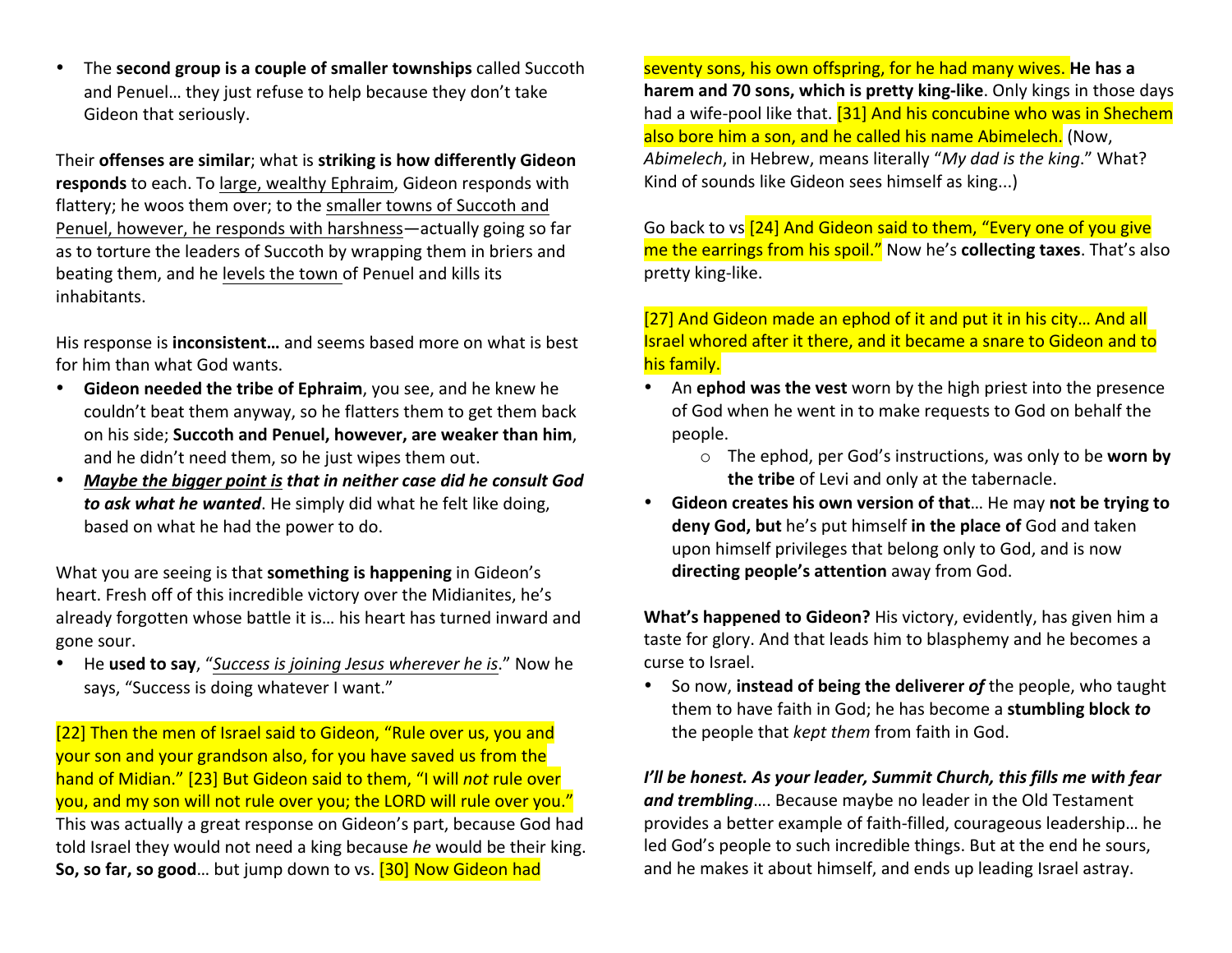• The **second group is a couple of smaller townships** called Succoth and Penuel... they just refuse to help because they don't take Gideon that seriously.

Their **offenses** are similar; what is striking is how differently Gideon responds to each. To large, wealthy Ephraim, Gideon responds with flattery; he woos them over; to the smaller towns of Succoth and Penuel, however, he responds with harshness—actually going so far as to torture the leaders of Succoth by wrapping them in briers and beating them, and he levels the town of Penuel and kills its inhabitants.

His response is **inconsistent...** and seems based more on what is best for him than what God wants.

- Gideon needed the tribe of Ephraim, you see, and he knew he couldn't beat them anyway, so he flatters them to get them back on his side; Succoth and Penuel, however, are weaker than him, and he didn't need them, so he just wipes them out.
- *Maybe the bigger point is that in neither case did he consult God* **to ask what he wanted**. He simply did what he felt like doing, based on what he had the power to do.

What you are seeing is that **something is happening** in Gideon's heart. Fresh off of this incredible victory over the Midianites, he's already forgotten whose battle it is... his heart has turned inward and gone sour.

He **used to say**, "Success is joining Jesus wherever he is." Now he says, "Success is doing whatever I want."

[22] Then the men of Israel said to Gideon, "Rule over us, you and your son and your grandson also, for you have saved us from the hand of Midian." [23] But Gideon said to them, "I will *not* rule over you, and my son will not rule over you; the LORD will rule over you." This was actually a great response on Gideon's part, because God had told Israel they would not need a king because *he* would be their king. **So, so far, so good**... but jump down to vs. [30] Now Gideon had

seventy sons, his own offspring, for he had many wives. He has a **harem** and 70 sons, which is pretty king-like. Only kings in those days had a wife-pool like that. [31] And his concubine who was in Shechem also bore him a son, and he called his name Abimelech. (Now, *Abimelech*, in Hebrew, means literally "My dad is the king." What? Kind of sounds like Gideon sees himself as king...)

Go back to vs [24] And Gideon said to them, "Every one of you give me the earrings from his spoil." Now he's collecting taxes. That's also pretty king-like.

[27] And Gideon made an ephod of it and put it in his city... And all Israel whored after it there, and it became a snare to Gideon and to his family.

- An **ephod was the vest** worn by the high priest into the presence of God when he went in to make requests to God on behalf the people.
	- o The ephod, per God's instructions, was only to be worn by **the tribe** of Levi and only at the tabernacle.
- Gideon creates his own version of that... He may not be trying to **deny God, but** he's put himself in the place of God and taken upon himself privileges that belong only to God, and is now **directing people's attention** away from God.

**What's happened to Gideon?** His victory, evidently, has given him a taste for glory. And that leads him to blasphemy and he becomes a curse to Israel.

• So now, instead of being the deliverer of the people, who taught them to have faith in God; he has become a **stumbling block to** the people that *kept them* from faith in God.

*I'll be honest. As your leader, Summit Church, this fills me with fear* and trembling.... Because maybe no leader in the Old Testament provides a better example of faith-filled, courageous leadership... he led God's people to such incredible things. But at the end he sours, and he makes it about himself, and ends up leading Israel astray.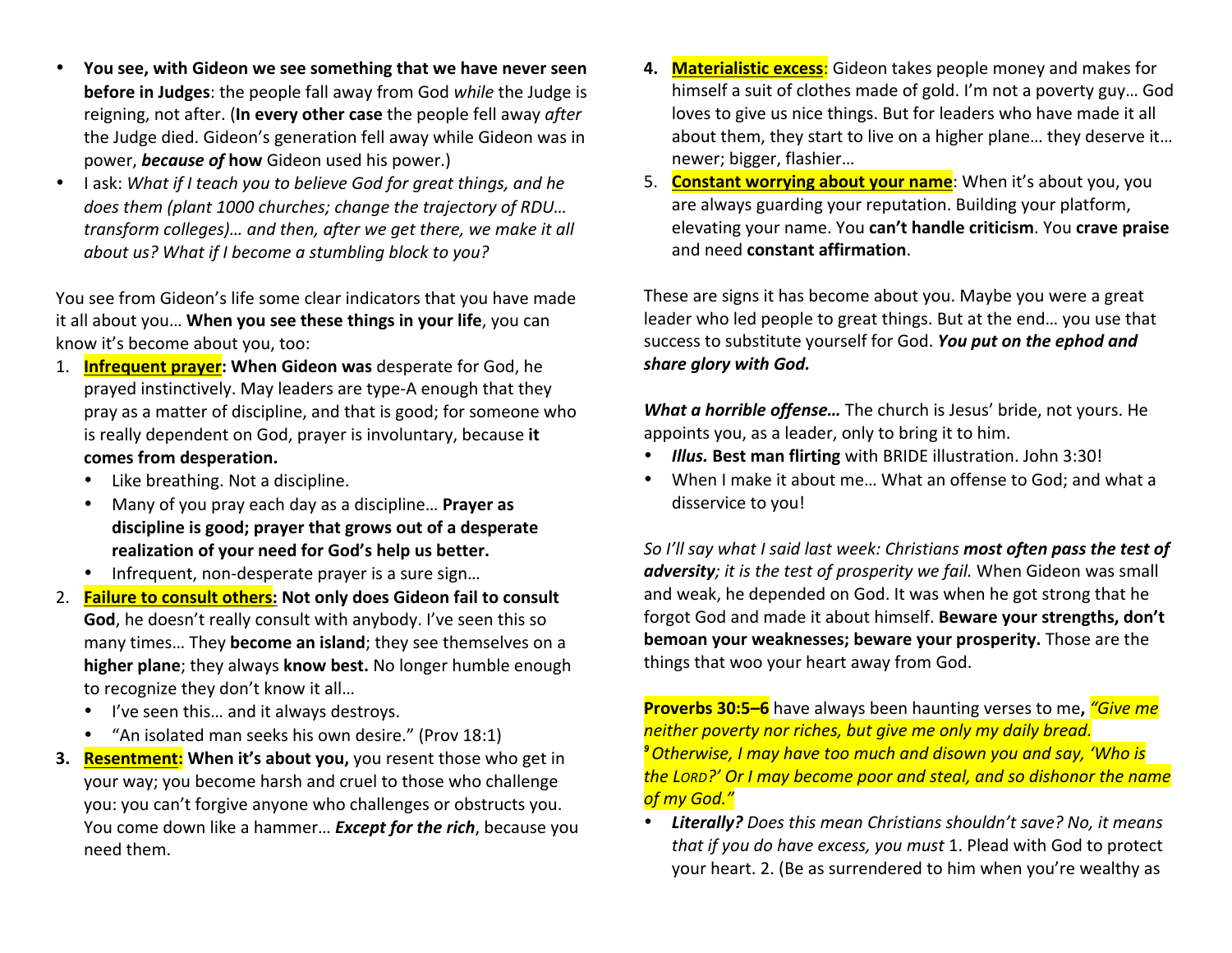- **You see, with Gideon we see something that we have never seen before in Judges**: the people fall away from God while the Judge is reigning, not after. (In every other case the people fell away *after* the Judge died. Gideon's generation fell away while Gideon was in power, **because of how** Gideon used his power.)
- I ask: What if I teach you to believe God for great things, and he does them (plant 1000 churches; change the trajectory of RDU... transform colleges)... and then, after we get there, we make it all *about us?* What if I become a stumbling block to you?

You see from Gideon's life some clear indicators that you have made it all about you... When you see these things in your life, you can know it's become about you, too:

- 1. **Infrequent prayer: When Gideon was** desperate for God, he prayed instinctively. May leaders are type-A enough that they pray as a matter of discipline, and that is good; for someone who is really dependent on God, prayer is involuntary, because it **comes from desperation.**
	- Like breathing. Not a discipline.
	- Many of you pray each day as a discipline... **Prayer as** discipline is good; prayer that grows out of a desperate realization of your need for God's help us better.
	- Infrequent, non-desperate prayer is a sure sign...
- 2. Failure to consult others: Not only does Gideon fail to consult **God**, he doesn't really consult with anybody. I've seen this so many times... They **become an island**; they see themselves on a **higher plane**; they always **know best.** No longer humble enough to recognize they don't know it all...
	- I've seen this... and it always destroys.
	- "An isolated man seeks his own desire." (Prov 18:1)
- **3. Resentment:** When it's about you, you resent those who get in your way; you become harsh and cruel to those who challenge you: you can't forgive anyone who challenges or obstructs you. You come down like a hammer... **Except for the rich**, because you need them.
- **4. Materialistic excess**: Gideon takes people money and makes for himself a suit of clothes made of gold. I'm not a poverty guy... God loves to give us nice things. But for leaders who have made it all about them, they start to live on a higher plane... they deserve it... newer; bigger, flashier...
- 5. Constant worrying about your name: When it's about you, you are always guarding your reputation. Building your platform, elevating your name. You **can't handle criticism**. You **crave praise** and need **constant affirmation**.

These are signs it has become about you. Maybe you were a great leader who led people to great things. But at the end... you use that success to substitute yourself for God. You put on the ephod and share glory with God.

**What a horrible offense...** The church is Jesus' bride, not yours. He appoints you, as a leader, only to bring it to him.

- **Illus. Best man flirting** with BRIDE illustration. John 3:30!
- When I make it about me... What an offense to God; and what a disservice to you!

*So* I'll say what I said last week: Christians **most often pass the test of** adversity; it is the test of prosperity we fail. When Gideon was small and weak, he depended on God. It was when he got strong that he forgot God and made it about himself. Beware your strengths, don't **bemoan your weaknesses; beware your prosperity.** Those are the things that woo your heart away from God.

**Proverbs 30:5–6** have always been haunting verses to me, *"Give me* neither poverty nor riches, but give me only my daily bread. *<sup>9</sup>Otherwise, I may have too much and disown you and say, 'Who is the LORD?' Or I may become poor and steal, and so dishonor the name of my God."*

Literally? Does this mean Christians shouldn't save? No, it means *that if you do have excess, you must* 1. Plead with God to protect your heart. 2. (Be as surrendered to him when you're wealthy as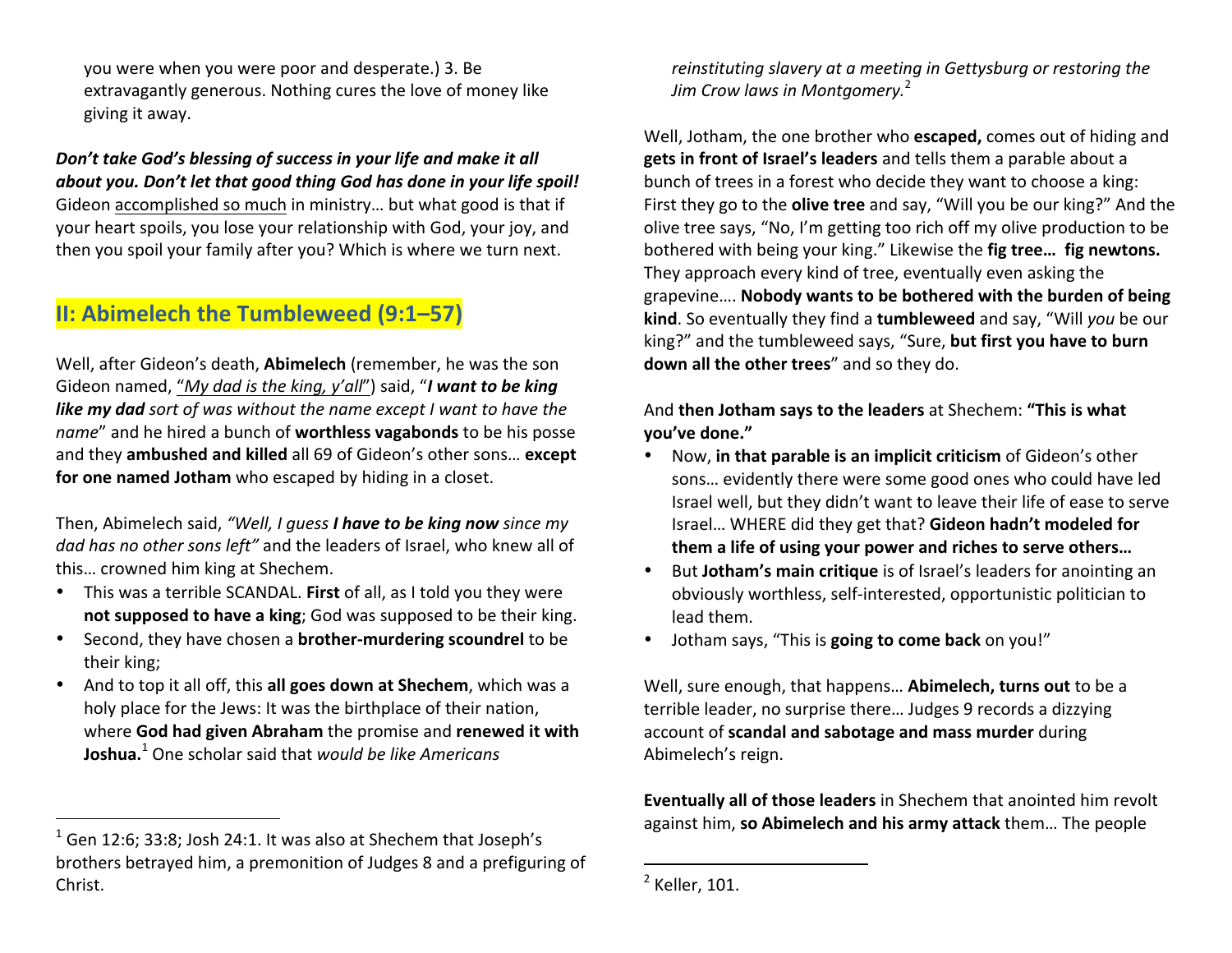you were when you were poor and desperate.) 3. Be extravagantly generous. Nothing cures the love of money like giving it away.

Don't take God's blessing of success in your life and make it all *about you. Don't let that good thing God has done in your life spoil!* Gideon accomplished so much in ministry... but what good is that if your heart spoils, you lose your relationship with God, your joy, and then you spoil your family after you? Which is where we turn next.

## **II: Abimelech the Tumbleweed (9:1–57)**

Well, after Gideon's death, **Abimelech** (remember, he was the son Gideon named, "*My dad is the king, y'all*") said, "*I* want to be king **like my dad** sort of was without the name except I want to have the *name*" and he hired a bunch of **worthless vagabonds** to be his posse and they **ambushed and killed** all 69 of Gideon's other sons... except for one named Jotham who escaped by hiding in a closet.

Then, Abimelech said, "Well, I quess **I have to be king now** since my dad has no other sons left" and the leaders of Israel, who knew all of this... crowned him king at Shechem.

- This was a terrible SCANDAL. First of all, as I told you they were **not supposed to have a king**; God was supposed to be their king.
- Second, they have chosen a **brother-murdering scoundrel** to be their king;
- And to top it all off, this all goes down at Shechem, which was a holy place for the Jews: It was the birthplace of their nation, where God had given Abraham the promise and renewed it with **Joshua.**<sup>1</sup> One scholar said that *would be like Americans*

 

*reinstituting slavery* at a meeting in Gettysburg or restoring the *Jim Crow laws in Montgomery.* 2

Well, Jotham, the one brother who **escaped**, comes out of hiding and gets in front of Israel's leaders and tells them a parable about a bunch of trees in a forest who decide they want to choose a king: First they go to the **olive tree** and say, "Will you be our king?" And the olive tree says, "No, I'm getting too rich off my olive production to be bothered with being your king." Likewise the **fig tree... fig newtons.** They approach every kind of tree, eventually even asking the grapevine.... **Nobody wants to be bothered with the burden of being** kind. So eventually they find a tumbleweed and say, "Will you be our king?" and the tumbleweed says, "Sure, but first you have to burn **down all the other trees**" and so they do.

And **then Jotham says to the leaders** at Shechem: "This is what **you've done."**

- Now, in that parable is an implicit criticism of Gideon's other sons... evidently there were some good ones who could have led Israel well, but they didn't want to leave their life of ease to serve Israel... WHERE did they get that? Gideon hadn't modeled for them a life of using your power and riches to serve others...
- But **Jotham's main critique** is of Israel's leaders for anointing an obviously worthless, self-interested, opportunistic politician to lead them.
- Jotham says, "This is **going to come back** on you!"

Well, sure enough, that happens... Abimelech, turns out to be a terrible leader, no surprise there... Judges 9 records a dizzying account of **scandal and sabotage and mass murder** during Abimelech's reign. 

**Eventually all of those leaders** in Shechem that anointed him revolt against him, so Abimelech and his army attack them... The people

 

 $1$  Gen 12:6; 33:8; Josh 24:1. It was also at Shechem that Joseph's brothers betrayed him, a premonition of Judges 8 and a prefiguring of Christ. 

 $<sup>2</sup>$  Keller, 101.</sup>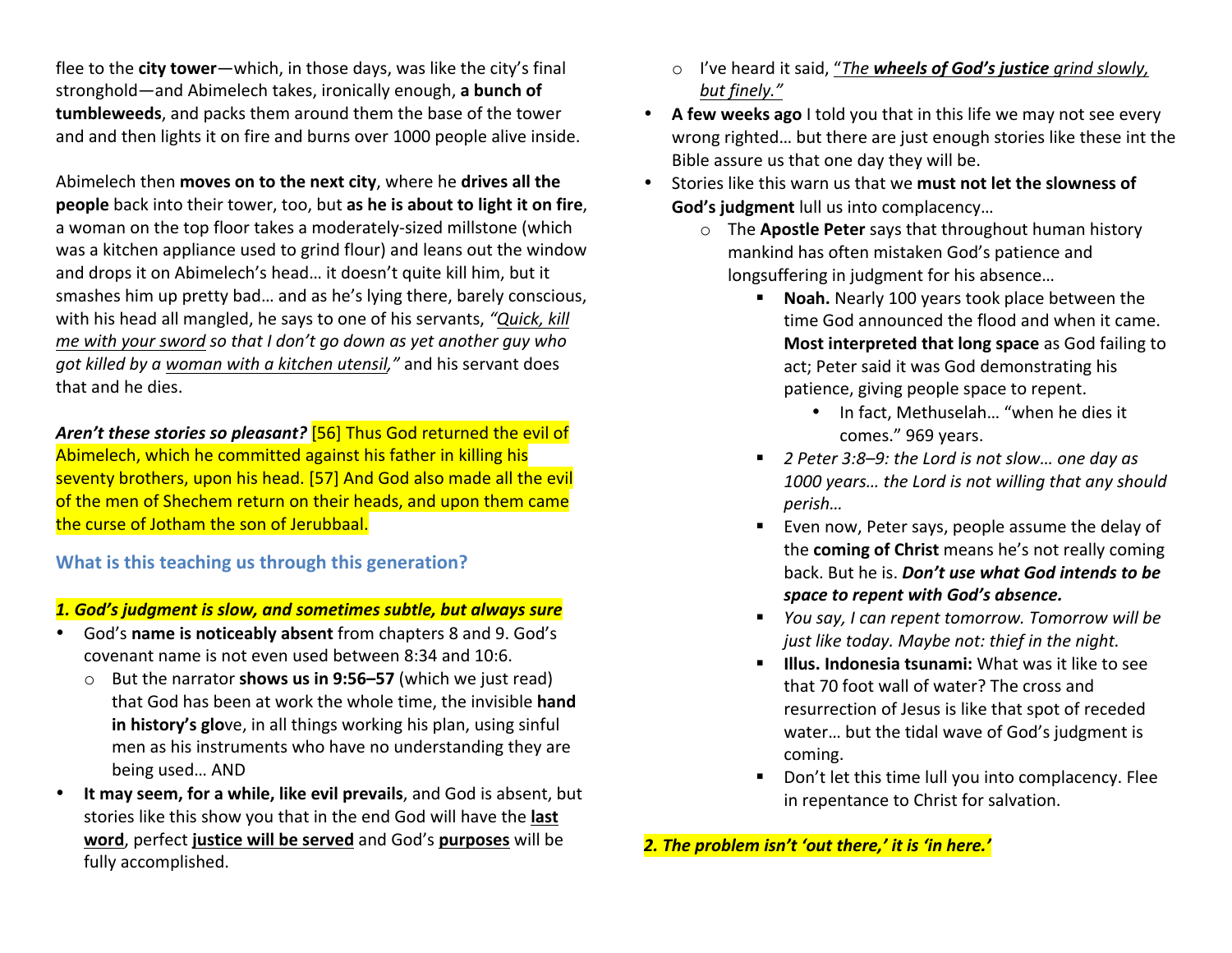flee to the **city tower**—which, in those days, was like the city's final stronghold—and Abimelech takes, ironically enough, a bunch of **tumbleweeds**, and packs them around them the base of the tower and and then lights it on fire and burns over 1000 people alive inside.

Abimelech then **moves** on to the next city, where he drives all the **people** back into their tower, too, but as he is about to light it on fire, a woman on the top floor takes a moderately-sized millstone (which was a kitchen appliance used to grind flour) and leans out the window and drops it on Abimelech's head... it doesn't quite kill him, but it smashes him up pretty bad... and as he's lying there, barely conscious, with his head all mangled, he says to one of his servants, "Quick, kill *me* with your sword so that I don't go down as yet another guy who *got killed by a woman with a kitchen utensil,"* and his servant does that and he dies.

Aren't these stories so pleasant? [56] Thus God returned the evil of Abimelech, which he committed against his father in killing his seventy brothers, upon his head. [57] And God also made all the evil of the men of Shechem return on their heads, and upon them came the curse of Jotham the son of Jerubbaal.

**What is this teaching us through this generation?** 

#### **1. God's judgment is slow, and sometimes subtle, but always sure**

- God's name is noticeably absent from chapters 8 and 9. God's covenant name is not even used between 8:34 and 10:6.
	- But the narrator **shows us in 9:56–57** (which we just read) that God has been at work the whole time, the invisible **hand in history's glo**ve, in all things working his plan, using sinful men as his instruments who have no understanding they are being used... AND
- It may seem, for a while, like evil prevails, and God is absent, but stories like this show you that in the end God will have the last word, perfect justice will be served and God's purposes will be fully accomplished.
- o I've heard it said, "*The wheels of God's justice grind slowly, but finely."*
- A few weeks ago I told you that in this life we may not see every wrong righted... but there are just enough stories like these int the Bible assure us that one day they will be.
- Stories like this warn us that we must not let the slowness of **God's judgment** lull us into complacency...
	- o The **Apostle Peter** says that throughout human history mankind has often mistaken God's patience and longsuffering in judgment for his absence...
		- **Noah.** Nearly 100 years took place between the time God announced the flood and when it came. **Most interpreted that long space** as God failing to act; Peter said it was God demonstrating his patience, giving people space to repent.
			- In fact, Methuselah... "when he dies it comes." 969 years.
		- 2 Peter 3:8–9: the Lord is not slow... one day as 1000 years... the Lord is not willing that any should *perish…*
		- Even now, Peter says, people assume the delay of the **coming of Christ** means he's not really coming back. But he is. *Don't use what God intends to be space to repent with God's absence.*
		- *You say, I can repent tomorrow. Tomorrow will be just like today. Maybe not: thief in the night.*
		- **Illus. Indonesia tsunami:** What was it like to see that 70 foot wall of water? The cross and resurrection of Jesus is like that spot of receded water... but the tidal wave of God's judgment is coming.
		- Don't let this time lull you into complacency. Flee in repentance to Christ for salvation.

2. The problem isn't 'out there,' it is 'in here.'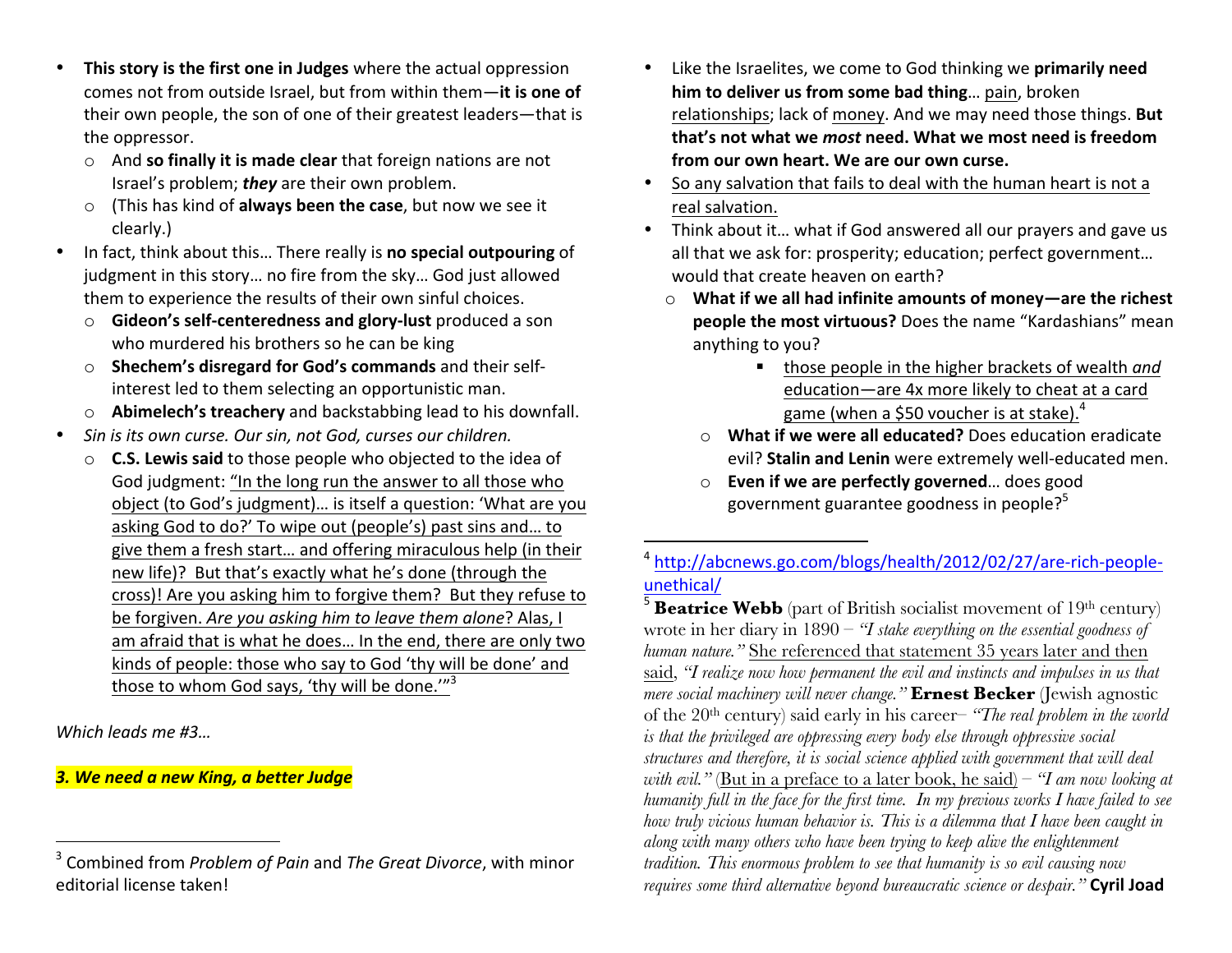- This story is the first one in Judges where the actual oppression comes not from outside Israel, but from within them-it is one of their own people, the son of one of their greatest leaders—that is the oppressor.
	- o And **so finally it is made clear** that foreign nations are not Israel's problem; **they** are their own problem.
	- o (This has kind of **always been the case**, but now we see it clearly.)
- In fact, think about this... There really is **no special outpouring** of judgment in this story... no fire from the sky... God just allowed them to experience the results of their own sinful choices.
	- o **Gideon's self-centeredness and glory-lust** produced a son who murdered his brothers so he can be king
	- o **Shechem's disregard for God's commands** and their selfinterest led to them selecting an opportunistic man.
	- o **Abimelech's treachery** and backstabbing lead to his downfall.
- Sin is its own curse. Our sin, not God, curses our children.
	- **C.S. Lewis said** to those people who objected to the idea of God judgment: "In the long run the answer to all those who object (to God's judgment)... is itself a question: 'What are you asking God to do?' To wipe out (people's) past sins and... to give them a fresh start... and offering miraculous help (in their new life)? But that's exactly what he's done (through the cross)! Are you asking him to forgive them? But they refuse to be forgiven. Are you asking him to leave them alone? Alas, I am afraid that is what he does... In the end, there are only two kinds of people: those who say to God 'thy will be done' and those to whom God says, 'thy will be done.'" $3$

*Which leads me #3…* 

#### *3. We need a new King, a better Judge*

 

- Like the Israelites, we come to God thinking we **primarily need him to deliver us from some bad thing...** pain, broken relationships; lack of money. And we may need those things. But **that's not what we most need. What we most need is freedom from our own heart. We are our own curse.**
- So any salvation that fails to deal with the human heart is not a real salvation.
- Think about it... what if God answered all our prayers and gave us all that we ask for: prosperity; education; perfect government... would that create heaven on earth?
	- $\circ$  What if we all had infinite amounts of money—are the richest **people the most virtuous?** Does the name "Kardashians" mean anything to you?
		- those people in the higher brackets of wealth *and* education—are 4x more likely to cheat at a card game (when a \$50 voucher is at stake).<sup>4</sup>
		- o **What if we were all educated?** Does education eradicate evil? Stalin and Lenin were extremely well-educated men.
		- o **Even if we are perfectly governed**... does good government guarantee goodness in people? $5^5$

 

<sup>5</sup> **Beatrice Webb** (part of British socialist movement of 19<sup>th</sup> century) wrote in her diary in 1890 – *"I stake everything on the essential goodness of human nature."* She referenced that statement 35 years later and then said, *"I realize now how permanent the evil and instincts and impulses in us that mere social machinery will never change."* **Ernest Becker** (Jewish agnostic of the 20th century) said early in his career– *"The real problem in the world is that the privileged are oppressing every body else through oppressive social structures and therefore, it is social science applied with government that will deal with evil."* (But in a preface to a later book, he said) – *"I am now looking at humanity full in the face for the first time. In my previous works I have failed to see how truly vicious human behavior is. This is a dilemma that I have been caught in along with many others who have been trying to keep alive the enlightenment tradition. This enormous problem to see that humanity is so evil causing now requires some third alternative beyond bureaucratic science or despair.*" **Cyril Joad** 

<sup>&</sup>lt;sup>3</sup> Combined from *Problem of Pain* and *The Great Divorce*, with minor editorial license taken!

<sup>4</sup> http://abcnews.go.com/blogs/health/2012/02/27/are-rich-peopleunethical/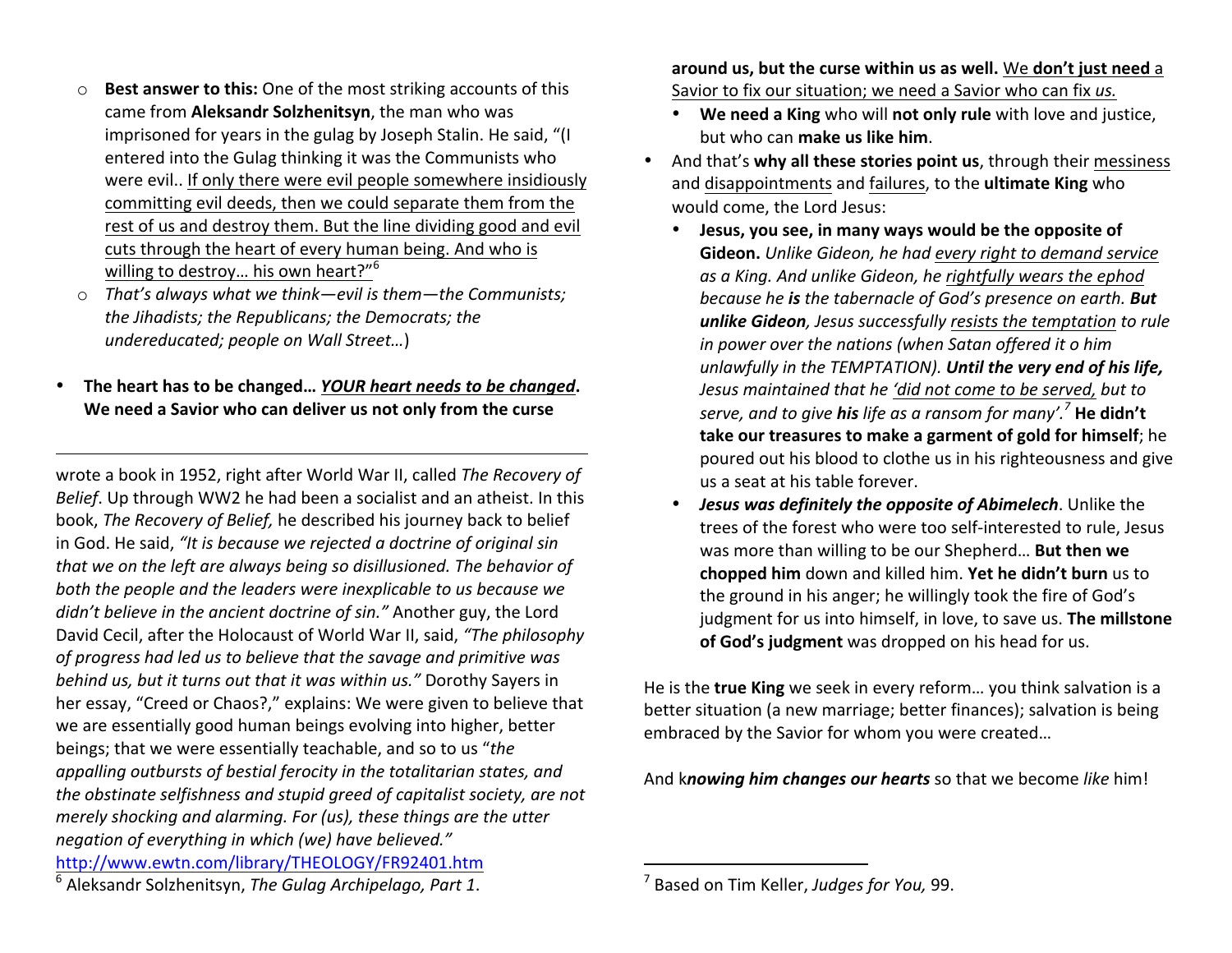- o **Best answer to this:** One of the most striking accounts of this came from **Aleksandr Solzhenitsyn**, the man who was imprisoned for years in the gulag by Joseph Stalin. He said, "(I entered into the Gulag thinking it was the Communists who were evil.. If only there were evil people somewhere insidiously committing evil deeds, then we could separate them from the rest of us and destroy them. But the line dividing good and evil cuts through the heart of every human being. And who is willing to destroy... his own heart?" $6$
- o That's always what we think—evil is them—the Communists; the Jihadists; the Republicans; the Democrats; the *undereducated; people on Wall Street...*)
- The heart has to be changed... *YOUR heart needs to be changed*. We need a Savior who can deliver us not only from the curse

 

wrote a book in 1952, right after World War II, called *The Recovery of Belief*. Up through WW2 he had been a socialist and an atheist. In this book, *The Recovery of Belief*, he described his journey back to belief in God. He said, "It is because we rejected a doctrine of original sin *that* we on the left are always being so disillusioned. The behavior of both the people and the leaders were inexplicable to us because we *didn't believe in the ancient doctrine of sin."* Another guy, the Lord David Cecil, after the Holocaust of World War II, said, "The philosophy of progress had led us to believe that the savage and primitive was *behind us, but it turns out that it was within us."* Dorothy Sayers in her essay, "Creed or Chaos?," explains: We were given to believe that we are essentially good human beings evolving into higher, better beings; that we were essentially teachable, and so to us "the *appalling outbursts of bestial ferocity in the totalitarian states, and the obstinate selfishness and stupid greed of capitalist society, are not merely shocking and alarming. For (us), these things are the utter negation of everything in which (we) have believed."* http://www.ewtn.com/library/THEOLOGY/FR92401.htm

**around us, but the curse within us as well.** We don't just need a Savior to fix our situation; we need a Savior who can fix us.

- We need a King who will not only rule with love and justice, but who can **make us like him**.
- And that's why all these stories point us, through their messiness and disappointments and failures, to the **ultimate King** who would come, the Lord Jesus:
	- Jesus, you see, in many ways would be the opposite of **Gideon.** Unlike Gideon, he had every right to demand service as a King. And unlike Gideon, he rightfully wears the ephod *because he is the tabernacle of God's presence on earth.* But **unlike Gideon**, *Jesus* successfully resists the temptation to rule *in power over the nations (when Satan offered it o him unlawfully* in the TEMPTATION). Until the very end of his life, *Jesus maintained that he 'did not come to be served, but to serve, and to give his life as a ransom for many'.*<sup>7</sup> He didn't **take our treasures to make a garment of gold for himself;** he poured out his blood to clothe us in his righteousness and give us a seat at his table forever.
	- *Jesus* was definitely the opposite of Abimelech. Unlike the trees of the forest who were too self-interested to rule, Jesus was more than willing to be our Shepherd... But then we **chopped him** down and killed him. Yet he didn't burn us to the ground in his anger; he willingly took the fire of God's judgment for us into himself, in love, to save us. **The millstone** of God's judgment was dropped on his head for us.

He is the **true King** we seek in every reform... you think salvation is a better situation (a new marriage; better finances); salvation is being embraced by the Savior for whom you were created...

And knowing him *changes our hearts* so that we become like him!

 

<sup>6</sup> Aleksandr Solzhenitsyn, *The Gulag Archipelago, Part 1*.

<sup>&</sup>lt;sup>7</sup> Based on Tim Keller, *Judges for You*, 99.